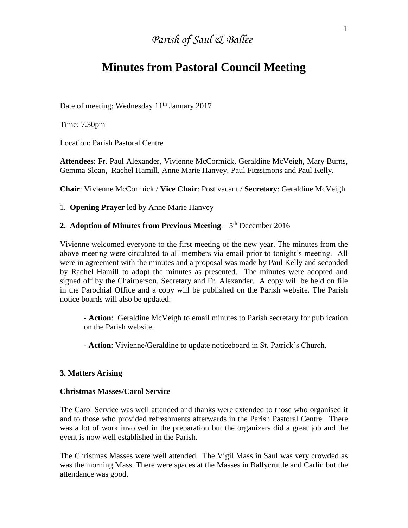# *Parish of Saul & Ballee*

# **Minutes from Pastoral Council Meeting**

Date of meeting: Wednesday 11<sup>th</sup> January 2017

Time: 7.30pm

Location: Parish Pastoral Centre

**Attendees**: Fr. Paul Alexander, Vivienne McCormick, Geraldine McVeigh, Mary Burns, Gemma Sloan, Rachel Hamill, Anne Marie Hanvey, Paul Fitzsimons and Paul Kelly.

**Chair**: Vivienne McCormick / **Vice Chair**: Post vacant / **Secretary**: Geraldine McVeigh

1. **Opening Prayer** led by Anne Marie Hanvey

# 2. Adoption of Minutes from Previous Meeting – 5<sup>th</sup> December 2016

Vivienne welcomed everyone to the first meeting of the new year. The minutes from the above meeting were circulated to all members via email prior to tonight's meeting. All were in agreement with the minutes and a proposal was made by Paul Kelly and seconded by Rachel Hamill to adopt the minutes as presented. The minutes were adopted and signed off by the Chairperson, Secretary and Fr. Alexander. A copy will be held on file in the Parochial Office and a copy will be published on the Parish website. The Parish notice boards will also be updated.

**- Action**: Geraldine McVeigh to email minutes to Parish secretary for publication on the Parish website.

- **Action**: Vivienne/Geraldine to update noticeboard in St. Patrick's Church.

#### **3. Matters Arising**

#### **Christmas Masses/Carol Service**

The Carol Service was well attended and thanks were extended to those who organised it and to those who provided refreshments afterwards in the Parish Pastoral Centre. There was a lot of work involved in the preparation but the organizers did a great job and the event is now well established in the Parish.

The Christmas Masses were well attended. The Vigil Mass in Saul was very crowded as was the morning Mass. There were spaces at the Masses in Ballycruttle and Carlin but the attendance was good.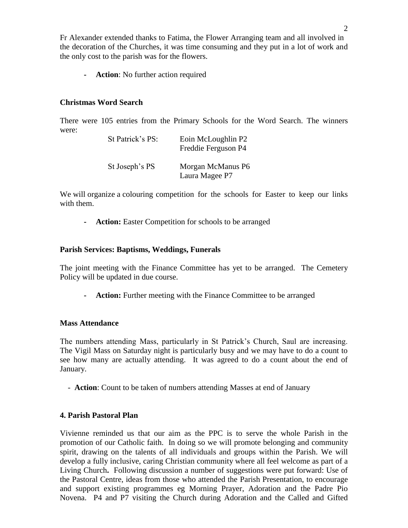Fr Alexander extended thanks to Fatima, the Flower Arranging team and all involved in the decoration of the Churches, it was time consuming and they put in a lot of work and the only cost to the parish was for the flowers.

**- Action**: No further action required

# **Christmas Word Search**

There were 105 entries from the Primary Schools for the Word Search. The winners were:

| St Patrick's PS: | Eoin McLoughlin P2<br>Freddie Ferguson P4 |
|------------------|-------------------------------------------|
| St Joseph's PS   | Morgan McManus P6<br>Laura Magee P7       |

We will organize a colouring competition for the schools for Easter to keep our links with them.

**- Action:** Easter Competition for schools to be arranged

## **Parish Services: Baptisms, Weddings, Funerals**

The joint meeting with the Finance Committee has yet to be arranged. The Cemetery Policy will be updated in due course.

**- Action:** Further meeting with the Finance Committee to be arranged

### **Mass Attendance**

The numbers attending Mass, particularly in St Patrick's Church, Saul are increasing. The Vigil Mass on Saturday night is particularly busy and we may have to do a count to see how many are actually attending. It was agreed to do a count about the end of January.

- **Action**: Count to be taken of numbers attending Masses at end of January

### **4. Parish Pastoral Plan**

Vivienne reminded us that our aim as the PPC is to serve the whole Parish in the promotion of our Catholic faith. In doing so we will promote belonging and community spirit, drawing on the talents of all individuals and groups within the Parish. We will develop a fully inclusive, caring Christian community where all feel welcome as part of a Living Church**.** Following discussion a number of suggestions were put forward: Use of the Pastoral Centre, ideas from those who attended the Parish Presentation, to encourage and support existing programmes eg Morning Prayer, Adoration and the Padre Pio Novena. P4 and P7 visiting the Church during Adoration and the Called and Gifted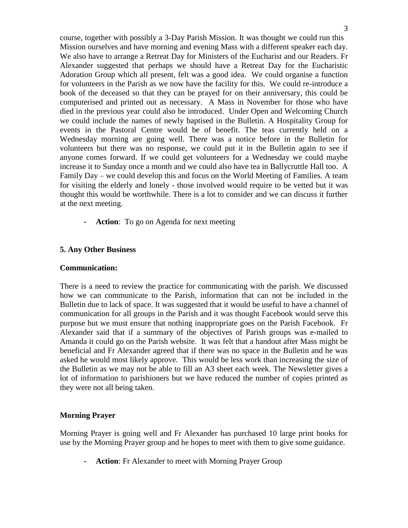course, together with possibly a 3-Day Parish Mission. It was thought we could run this Mission ourselves and have morning and evening Mass with a different speaker each day. We also have to arrange a Retreat Day for Ministers of the Eucharist and our Readers. Fr Alexander suggested that perhaps we should have a Retreat Day for the Eucharistic Adoration Group which all present, felt was a good idea. We could organise a function for volunteers in the Parish as we now have the facility for this. We could re-introduce a book of the deceased so that they can be prayed for on their anniversary, this could be computerised and printed out as necessary. A Mass in November for those who have died in the previous year could also be introduced. Under Open and Welcoming Church we could include the names of newly baptised in the Bulletin. A Hospitality Group for events in the Pastoral Centre would be of benefit. The teas currently held on a Wednesday morning are going well. There was a notice before in the Bulletin for volunteers but there was no response, we could put it in the Bulletin again to see if anyone comes forward. If we could get volunteers for a Wednesday we could maybe increase it to Sunday once a month and we could also have tea in Ballycruttle Hall too. A Family Day – we could develop this and focus on the World Meeting of Families. A team for visiting the elderly and lonely - those involved would require to be vetted but it was thought this would be worthwhile. There is a lot to consider and we can discuss it further at the next meeting.

**- Action**: To go on Agenda for next meeting

## **5. Any Other Business**

#### **Communication:**

There is a need to review the practice for communicating with the parish. We discussed how we can communicate to the Parish, information that can not be included in the Bulletin due to lack of space. It was suggested that it would be useful to have a channel of communication for all groups in the Parish and it was thought Facebook would serve this purpose but we must ensure that nothing inappropriate goes on the Parish Facebook. Fr Alexander said that if a summary of the objectives of Parish groups was e-mailed to Amanda it could go on the Parish website. It was felt that a handout after Mass might be beneficial and Fr Alexander agreed that if there was no space in the Bulletin and he was asked he would most likely approve. This would be less work than increasing the size of the Bulletin as we may not be able to fill an A3 sheet each week. The Newsletter gives a lot of information to parishioners but we have reduced the number of copies printed as they were not all being taken.

### **Morning Prayer**

Morning Prayer is going well and Fr Alexander has purchased 10 large print books for use by the Morning Prayer group and he hopes to meet with them to give some guidance.

**- Action**: Fr Alexander to meet with Morning Prayer Group